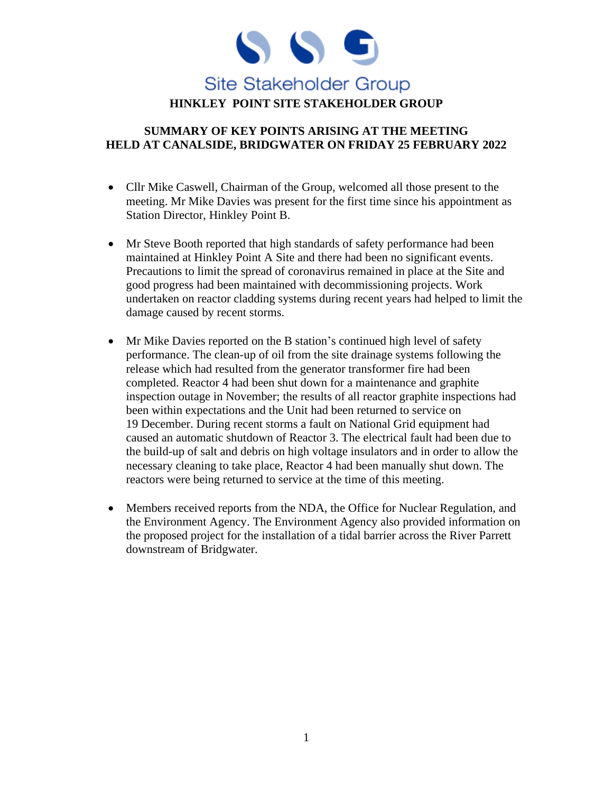

### **SUMMARY OF KEY POINTS ARISING AT THE MEETING HELD AT CANALSIDE, BRIDGWATER ON FRIDAY 25 FEBRUARY 2022**

- Cllr Mike Caswell, Chairman of the Group, welcomed all those present to the meeting. Mr Mike Davies was present for the first time since his appointment as Station Director, Hinkley Point B.
- Mr Steve Booth reported that high standards of safety performance had been maintained at Hinkley Point A Site and there had been no significant events. Precautions to limit the spread of coronavirus remained in place at the Site and good progress had been maintained with decommissioning projects. Work undertaken on reactor cladding systems during recent years had helped to limit the damage caused by recent storms.
- Mr Mike Davies reported on the B station's continued high level of safety performance. The clean-up of oil from the site drainage systems following the release which had resulted from the generator transformer fire had been completed. Reactor 4 had been shut down for a maintenance and graphite inspection outage in November; the results of all reactor graphite inspections had been within expectations and the Unit had been returned to service on 19 December. During recent storms a fault on National Grid equipment had caused an automatic shutdown of Reactor 3. The electrical fault had been due to the build-up of salt and debris on high voltage insulators and in order to allow the necessary cleaning to take place, Reactor 4 had been manually shut down. The reactors were being returned to service at the time of this meeting.
- Members received reports from the NDA, the Office for Nuclear Regulation, and the Environment Agency. The Environment Agency also provided information on the proposed project for the installation of a tidal barrier across the River Parrett downstream of Bridgwater.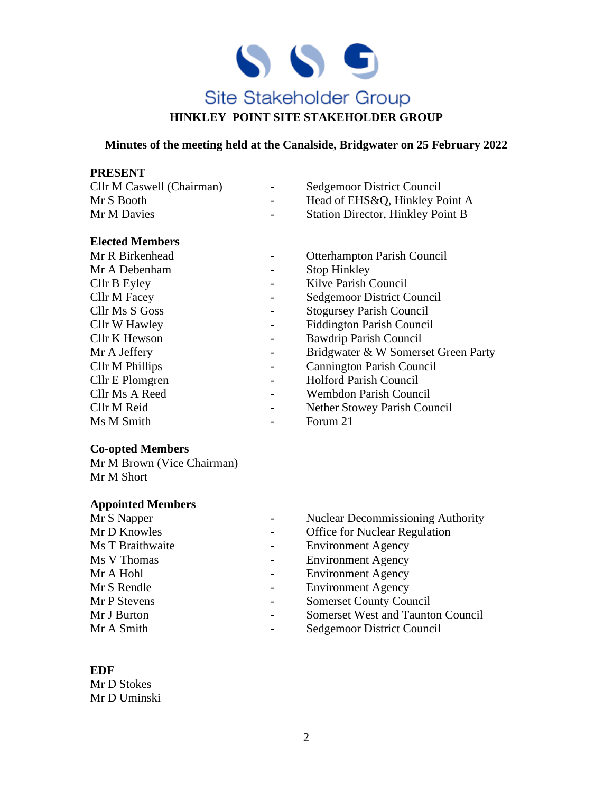

#### **Minutes of the meeting held at the Canalside, Bridgwater on 25 February 2022**

### **PRESENT**

| Cllr M Caswell (Chairman) | $\sim$ $-$ | <b>Sedgemoor District Council</b>        |
|---------------------------|------------|------------------------------------------|
| Mr S Booth                | $\sim$     | Head of EHS&Q, Hinkley Point A           |
| Mr M Davies               | $\sim$     | <b>Station Director, Hinkley Point B</b> |

#### **Elected Members**

| Mr R Birkenhead     |   | <b>Otterhampton Parish Council</b>  |
|---------------------|---|-------------------------------------|
| Mr A Debenham       |   | <b>Stop Hinkley</b>                 |
| Cllr B Eyley        |   | Kilve Parish Council                |
| <b>Cllr M Facey</b> |   | Sedgemoor District Council          |
| Cllr Ms S Goss      | - | <b>Stogursey Parish Council</b>     |
| Cllr W Hawley       |   | <b>Fiddington Parish Council</b>    |
| Cllr K Hewson       |   | Bawdrip Parish Council              |
| Mr A Jeffery        |   | Bridgwater & W Somerset Green Party |
| Cllr M Phillips     | - | <b>Cannington Parish Council</b>    |
| Cllr E Plomgren     |   | <b>Holford Parish Council</b>       |
| Cllr Ms A Reed      |   | Wembdon Parish Council              |
| Cllr M Reid         |   | Nether Stowey Parish Council        |
| Ms M Smith          |   | Forum 21                            |

### **Co-opted Members**

Mr M Brown (Vice Chairman) Mr M Short

### **Appointed Members**

| Mr S Napper      | <b>Nuclear Decommissioning Authority</b> |
|------------------|------------------------------------------|
| Mr D Knowles     | <b>Office for Nuclear Regulation</b>     |
| Ms T Braithwaite | <b>Environment Agency</b>                |
| Ms V Thomas      | <b>Environment Agency</b>                |
| Mr A Hohl        | <b>Environment Agency</b>                |
| Mr S Rendle      | <b>Environment Agency</b>                |
| Mr P Stevens     | <b>Somerset County Council</b>           |
| Mr J Burton      | <b>Somerset West and Taunton Council</b> |
| Mr A Smith       | Sedgemoor District Council               |

#### **EDF**

Mr D Stokes Mr D Uminski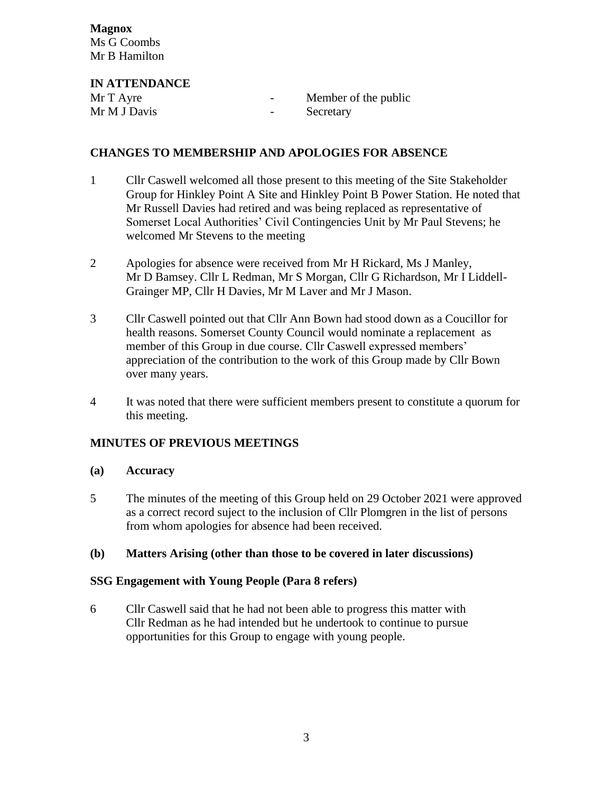**Magnox** Ms G Coombs Mr B Hamilton

**IN ATTENDANCE** Mr T Ayre **-** Member of the public Mr M J Davis **-** Secretary

### **CHANGES TO MEMBERSHIP AND APOLOGIES FOR ABSENCE**

- 1 Cllr Caswell welcomed all those present to this meeting of the Site Stakeholder Group for Hinkley Point A Site and Hinkley Point B Power Station. He noted that Mr Russell Davies had retired and was being replaced as representative of Somerset Local Authorities' Civil Contingencies Unit by Mr Paul Stevens; he welcomed Mr Stevens to the meeting
- 2 Apologies for absence were received from Mr H Rickard, Ms J Manley, Mr D Bamsey. Cllr L Redman, Mr S Morgan, Cllr G Richardson, Mr I Liddell-Grainger MP, Cllr H Davies, Mr M Laver and Mr J Mason.
- 3 Cllr Caswell pointed out that Cllr Ann Bown had stood down as a Coucillor for health reasons. Somerset County Council would nominate a replacement as member of this Group in due course. Cllr Caswell expressed members' appreciation of the contribution to the work of this Group made by Cllr Bown over many years.
- 4 It was noted that there were sufficient members present to constitute a quorum for this meeting.

# **MINUTES OF PREVIOUS MEETINGS**

### **(a) Accuracy**

5 The minutes of the meeting of this Group held on 29 October 2021 were approved as a correct record suject to the inclusion of Cllr Plomgren in the list of persons from whom apologies for absence had been received.

# **(b) Matters Arising (other than those to be covered in later discussions)**

### **SSG Engagement with Young People (Para 8 refers)**

6 Cllr Caswell said that he had not been able to progress this matter with Cllr Redman as he had intended but he undertook to continue to pursue opportunities for this Group to engage with young people.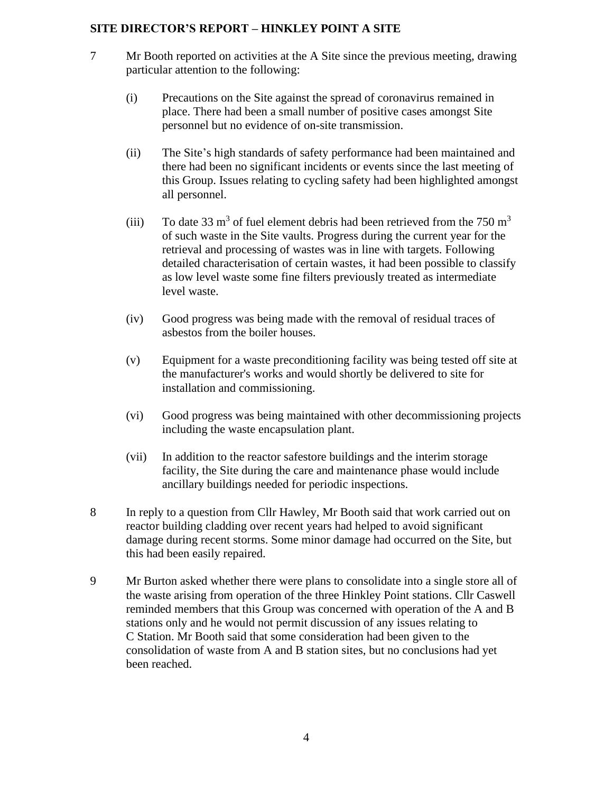### **SITE DIRECTOR'S REPORT – HINKLEY POINT A SITE**

- 7 Mr Booth reported on activities at the A Site since the previous meeting, drawing particular attention to the following:
	- (i) Precautions on the Site against the spread of coronavirus remained in place. There had been a small number of positive cases amongst Site personnel but no evidence of on-site transmission.
	- (ii) The Site's high standards of safety performance had been maintained and there had been no significant incidents or events since the last meeting of this Group. Issues relating to cycling safety had been highlighted amongst all personnel.
	- (iii) To date 33 m<sup>3</sup> of fuel element debris had been retrieved from the 750 m<sup>3</sup> of such waste in the Site vaults. Progress during the current year for the retrieval and processing of wastes was in line with targets. Following detailed characterisation of certain wastes, it had been possible to classify as low level waste some fine filters previously treated as intermediate level waste.
	- (iv) Good progress was being made with the removal of residual traces of asbestos from the boiler houses.
	- (v) Equipment for a waste preconditioning facility was being tested off site at the manufacturer's works and would shortly be delivered to site for installation and commissioning.
	- (vi) Good progress was being maintained with other decommissioning projects including the waste encapsulation plant.
	- (vii) In addition to the reactor safestore buildings and the interim storage facility, the Site during the care and maintenance phase would include ancillary buildings needed for periodic inspections.
- 8 In reply to a question from Cllr Hawley, Mr Booth said that work carried out on reactor building cladding over recent years had helped to avoid significant damage during recent storms. Some minor damage had occurred on the Site, but this had been easily repaired.
- 9 Mr Burton asked whether there were plans to consolidate into a single store all of the waste arising from operation of the three Hinkley Point stations. Cllr Caswell reminded members that this Group was concerned with operation of the A and B stations only and he would not permit discussion of any issues relating to C Station. Mr Booth said that some consideration had been given to the consolidation of waste from A and B station sites, but no conclusions had yet been reached.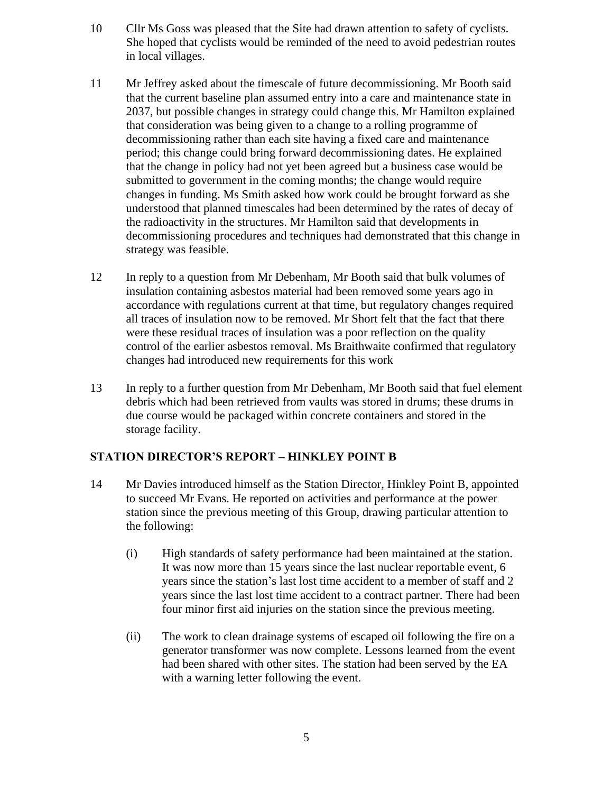- 10 Cllr Ms Goss was pleased that the Site had drawn attention to safety of cyclists. She hoped that cyclists would be reminded of the need to avoid pedestrian routes in local villages.
- 11 Mr Jeffrey asked about the timescale of future decommissioning. Mr Booth said that the current baseline plan assumed entry into a care and maintenance state in 2037, but possible changes in strategy could change this. Mr Hamilton explained that consideration was being given to a change to a rolling programme of decommissioning rather than each site having a fixed care and maintenance period; this change could bring forward decommissioning dates. He explained that the change in policy had not yet been agreed but a business case would be submitted to government in the coming months; the change would require changes in funding. Ms Smith asked how work could be brought forward as she understood that planned timescales had been determined by the rates of decay of the radioactivity in the structures. Mr Hamilton said that developments in decommissioning procedures and techniques had demonstrated that this change in strategy was feasible.
- 12 In reply to a question from Mr Debenham, Mr Booth said that bulk volumes of insulation containing asbestos material had been removed some years ago in accordance with regulations current at that time, but regulatory changes required all traces of insulation now to be removed. Mr Short felt that the fact that there were these residual traces of insulation was a poor reflection on the quality control of the earlier asbestos removal. Ms Braithwaite confirmed that regulatory changes had introduced new requirements for this work
- 13 In reply to a further question from Mr Debenham, Mr Booth said that fuel element debris which had been retrieved from vaults was stored in drums; these drums in due course would be packaged within concrete containers and stored in the storage facility.

# **STATION DIRECTOR'S REPORT – HINKLEY POINT B**

- 14 Mr Davies introduced himself as the Station Director, Hinkley Point B, appointed to succeed Mr Evans. He reported on activities and performance at the power station since the previous meeting of this Group, drawing particular attention to the following:
	- (i) High standards of safety performance had been maintained at the station. It was now more than 15 years since the last nuclear reportable event, 6 years since the station's last lost time accident to a member of staff and 2 years since the last lost time accident to a contract partner. There had been four minor first aid injuries on the station since the previous meeting.
	- (ii) The work to clean drainage systems of escaped oil following the fire on a generator transformer was now complete. Lessons learned from the event had been shared with other sites. The station had been served by the EA with a warning letter following the event.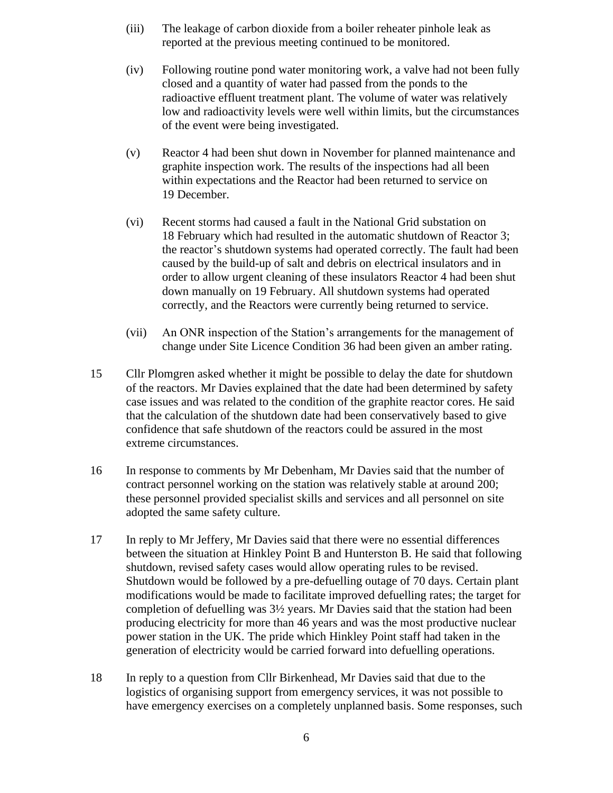- (iii) The leakage of carbon dioxide from a boiler reheater pinhole leak as reported at the previous meeting continued to be monitored.
- (iv) Following routine pond water monitoring work, a valve had not been fully closed and a quantity of water had passed from the ponds to the radioactive effluent treatment plant. The volume of water was relatively low and radioactivity levels were well within limits, but the circumstances of the event were being investigated.
- (v) Reactor 4 had been shut down in November for planned maintenance and graphite inspection work. The results of the inspections had all been within expectations and the Reactor had been returned to service on 19 December.
- (vi) Recent storms had caused a fault in the National Grid substation on 18 February which had resulted in the automatic shutdown of Reactor 3; the reactor's shutdown systems had operated correctly. The fault had been caused by the build-up of salt and debris on electrical insulators and in order to allow urgent cleaning of these insulators Reactor 4 had been shut down manually on 19 February. All shutdown systems had operated correctly, and the Reactors were currently being returned to service.
- (vii) An ONR inspection of the Station's arrangements for the management of change under Site Licence Condition 36 had been given an amber rating.
- 15 Cllr Plomgren asked whether it might be possible to delay the date for shutdown of the reactors. Mr Davies explained that the date had been determined by safety case issues and was related to the condition of the graphite reactor cores. He said that the calculation of the shutdown date had been conservatively based to give confidence that safe shutdown of the reactors could be assured in the most extreme circumstances.
- 16 In response to comments by Mr Debenham, Mr Davies said that the number of contract personnel working on the station was relatively stable at around 200; these personnel provided specialist skills and services and all personnel on site adopted the same safety culture.
- 17 In reply to Mr Jeffery, Mr Davies said that there were no essential differences between the situation at Hinkley Point B and Hunterston B. He said that following shutdown, revised safety cases would allow operating rules to be revised. Shutdown would be followed by a pre-defuelling outage of 70 days. Certain plant modifications would be made to facilitate improved defuelling rates; the target for completion of defuelling was 3½ years. Mr Davies said that the station had been producing electricity for more than 46 years and was the most productive nuclear power station in the UK. The pride which Hinkley Point staff had taken in the generation of electricity would be carried forward into defuelling operations.
- 18 In reply to a question from Cllr Birkenhead, Mr Davies said that due to the logistics of organising support from emergency services, it was not possible to have emergency exercises on a completely unplanned basis. Some responses, such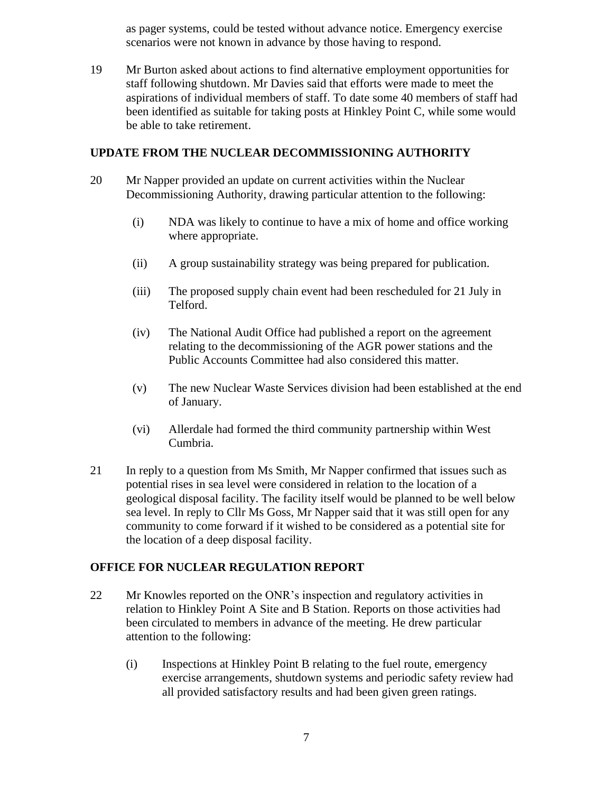as pager systems, could be tested without advance notice. Emergency exercise scenarios were not known in advance by those having to respond.

19 Mr Burton asked about actions to find alternative employment opportunities for staff following shutdown. Mr Davies said that efforts were made to meet the aspirations of individual members of staff. To date some 40 members of staff had been identified as suitable for taking posts at Hinkley Point C, while some would be able to take retirement.

### **UPDATE FROM THE NUCLEAR DECOMMISSIONING AUTHORITY**

- 20 Mr Napper provided an update on current activities within the Nuclear Decommissioning Authority, drawing particular attention to the following:
	- (i) NDA was likely to continue to have a mix of home and office working where appropriate.
	- (ii) A group sustainability strategy was being prepared for publication.
	- (iii) The proposed supply chain event had been rescheduled for 21 July in Telford.
	- (iv) The National Audit Office had published a report on the agreement relating to the decommissioning of the AGR power stations and the Public Accounts Committee had also considered this matter.
	- (v) The new Nuclear Waste Services division had been established at the end of January.
	- (vi) Allerdale had formed the third community partnership within West Cumbria.
- 21 In reply to a question from Ms Smith, Mr Napper confirmed that issues such as potential rises in sea level were considered in relation to the location of a geological disposal facility. The facility itself would be planned to be well below sea level. In reply to Cllr Ms Goss, Mr Napper said that it was still open for any community to come forward if it wished to be considered as a potential site for the location of a deep disposal facility.

# **OFFICE FOR NUCLEAR REGULATION REPORT**

- 22 Mr Knowles reported on the ONR's inspection and regulatory activities in relation to Hinkley Point A Site and B Station. Reports on those activities had been circulated to members in advance of the meeting. He drew particular attention to the following:
	- (i) Inspections at Hinkley Point B relating to the fuel route, emergency exercise arrangements, shutdown systems and periodic safety review had all provided satisfactory results and had been given green ratings.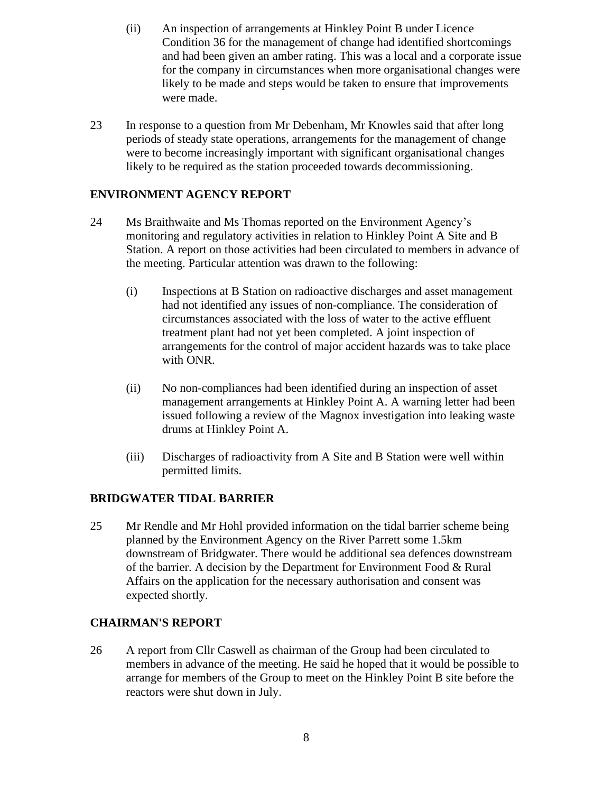- (ii) An inspection of arrangements at Hinkley Point B under Licence Condition 36 for the management of change had identified shortcomings and had been given an amber rating. This was a local and a corporate issue for the company in circumstances when more organisational changes were likely to be made and steps would be taken to ensure that improvements were made.
- 23 In response to a question from Mr Debenham, Mr Knowles said that after long periods of steady state operations, arrangements for the management of change were to become increasingly important with significant organisational changes likely to be required as the station proceeded towards decommissioning.

# **ENVIRONMENT AGENCY REPORT**

- 24 Ms Braithwaite and Ms Thomas reported on the Environment Agency's monitoring and regulatory activities in relation to Hinkley Point A Site and B Station. A report on those activities had been circulated to members in advance of the meeting. Particular attention was drawn to the following:
	- (i) Inspections at B Station on radioactive discharges and asset management had not identified any issues of non-compliance. The consideration of circumstances associated with the loss of water to the active effluent treatment plant had not yet been completed. A joint inspection of arrangements for the control of major accident hazards was to take place with ONR.
	- (ii) No non-compliances had been identified during an inspection of asset management arrangements at Hinkley Point A. A warning letter had been issued following a review of the Magnox investigation into leaking waste drums at Hinkley Point A.
	- (iii) Discharges of radioactivity from A Site and B Station were well within permitted limits.

### **BRIDGWATER TIDAL BARRIER**

25 Mr Rendle and Mr Hohl provided information on the tidal barrier scheme being planned by the Environment Agency on the River Parrett some 1.5km downstream of Bridgwater. There would be additional sea defences downstream of the barrier. A decision by the Department for Environment Food & Rural Affairs on the application for the necessary authorisation and consent was expected shortly.

# **CHAIRMAN'S REPORT**

26 A report from Cllr Caswell as chairman of the Group had been circulated to members in advance of the meeting. He said he hoped that it would be possible to arrange for members of the Group to meet on the Hinkley Point B site before the reactors were shut down in July.